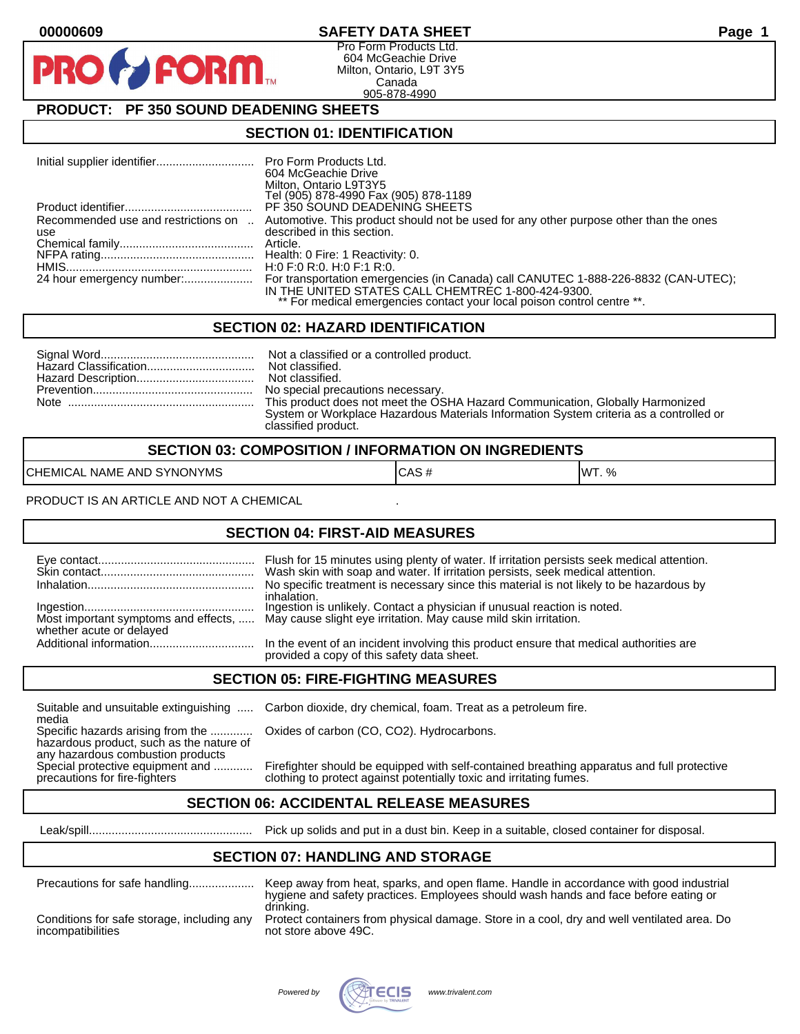### **00000609 SAFETY DATA SHEET Page 1**

Pro Form Products Ltd. 604 McGeachie Drive Milton, Ontario, L9T 3Y5 Canada 905-878-4990

## **PRODUCT: PF 350 SOUND DEADENING SHEETS**

**FORM.** 

#### **SECTION 01: IDENTIFICATION**

|                                            | Pro Form Products Ltd.<br>604 McGeachie Drive<br>Milton, Ontario L9T3Y5<br>Tel (905) 878-4990 Fax (905) 878-1189                                                                                                    |
|--------------------------------------------|---------------------------------------------------------------------------------------------------------------------------------------------------------------------------------------------------------------------|
|                                            | PF 350 SOUND DEADENING SHEETS                                                                                                                                                                                       |
| Recommended use and restrictions on<br>use | Automotive. This product should not be used for any other purpose other than the ones<br>described in this section.                                                                                                 |
|                                            | Article.                                                                                                                                                                                                            |
|                                            |                                                                                                                                                                                                                     |
|                                            | H:0 F:0 R:0. H:0 F:1 R:0.                                                                                                                                                                                           |
| 24 hour emergency number:                  | For transportation emergencies (in Canada) call CANUTEC 1-888-226-8832 (CAN-UTEC);<br>IN THE UNITED STATES CALL CHEMTREC 1-800-424-9300.<br>** For medical emergencies contact your local poison control centre **. |

### **SECTION 02: HAZARD IDENTIFICATION**

| No special precautions necessary.                                                      |
|----------------------------------------------------------------------------------------|
| This product does not meet the OSHA Hazard Communication, Globally Harmonized          |
| System or Workplace Hazardous Materials Information System criteria as a controlled or |
| classified product.                                                                    |

| <b>SECTION 03: COMPOSITION / INFORMATION ON INGREDIENTS</b> |      |               |
|-------------------------------------------------------------|------|---------------|
| CHEMICAL NAME AND SYNONYMS                                  | CAS# | <b>IWT.</b> % |

PRODUCT IS AN ARTICLE AND NOT A CHEMICAL

#### **SECTION 04: FIRST-AID MEASURES**

|                          | Wash skin with soap and water. If irritation persists, seek medical attention.<br>No specific treatment is necessary since this material is not likely to be hazardous by<br>inhalation. |
|--------------------------|------------------------------------------------------------------------------------------------------------------------------------------------------------------------------------------|
| whether acute or delayed | Ingestion is unlikely. Contact a physician if unusual reaction is noted.<br>Most important symptoms and effects,  May cause slight eye irritation. May cause mild skin irritation.       |
|                          | In the event of an incident involving this product ensure that medical authorities are<br>provided a copy of this safety data sheet.                                                     |

### **SECTION 05: FIRE-FIGHTING MEASURES**

Suitable and unsuitable extinguishing ..... Carbon dioxide, dry chemical, foam. Treat as a petroleum fire.

media<br>Specific hazards arising from the ............. hazardous product, such as the nature of any hazardous combustion products<br>Special protective equipment and ............

Oxides of carbon (CO, CO2). Hydrocarbons.

Firefighter should be equipped with self-contained breathing apparatus and full protective precautions for fire-fighters clothing to protect against potentially toxic and irritating fumes.

### **SECTION 06: ACCIDENTAL RELEASE MEASURES**

Leak/spill.................................................. Pick up solids and put in a dust bin. Keep in a suitable, closed container for disposal.

#### **SECTION 07: HANDLING AND STORAGE**

| Precautions for safe handling              | Keep away from heat, sparks, and open flame. Handle in accordance with good industrial<br>hygiene and safety practices. Employees should wash hands and face before eating or<br>drinking. |
|--------------------------------------------|--------------------------------------------------------------------------------------------------------------------------------------------------------------------------------------------|
| Conditions for safe storage, including any | Protect containers from physical damage. Store in a cool, dry and well ventilated area. Do                                                                                                 |
| incompatibilities                          | not store above 49C.                                                                                                                                                                       |

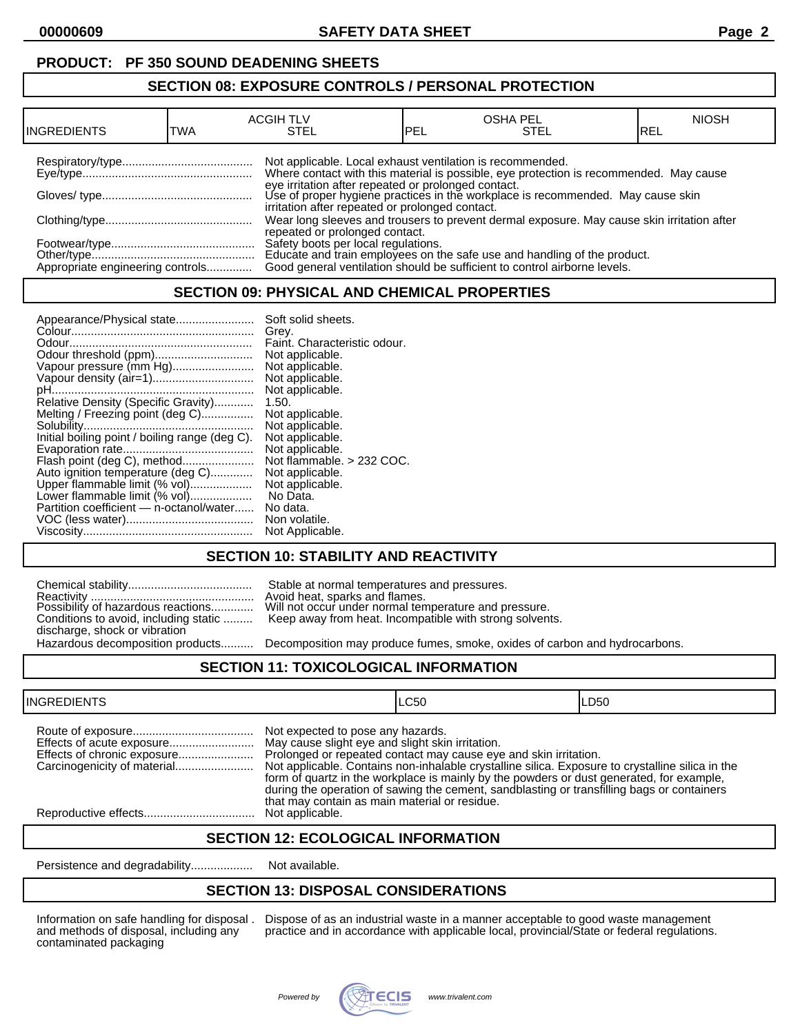## **PRODUCT: PF 350 SOUND DEADENING SHEETS**

#### **SECTION 08: EXPOSURE CONTROLS / PERSONAL PROTECTION**

| <b>INGREDIENTS</b>               | TWA | <b>ACGIH TLV</b><br>STEL                                                                                     | <b>IPEL</b> | <b>OSHA PEL</b><br>STEL                                                                                                                                                                                                          | <b>NIOSH</b><br>IREL |
|----------------------------------|-----|--------------------------------------------------------------------------------------------------------------|-------------|----------------------------------------------------------------------------------------------------------------------------------------------------------------------------------------------------------------------------------|----------------------|
|                                  |     | Not applicable. Local exhaust ventilation is recommended.<br>irritation after repeated or prolonged contact. |             | Where contact with this material is possible, eye protection is recommended. May cause<br>eye irritation after repeated or prolonged contact.<br>Use of proper hygiene practices in the workplace is recommended. May cause skin |                      |
|                                  |     | repeated or prolonged contact.                                                                               |             | Wear long sleeves and trousers to prevent dermal exposure. May cause skin irritation after                                                                                                                                       |                      |
| Appropriate engineering controls |     |                                                                                                              |             | Safety boots per local regulations.<br>Educate and train employees on the safe use and handling of the product.<br>Good general ventilation should be sufficient to control airborne levels.                                     |                      |

## **SECTION 09: PHYSICAL AND CHEMICAL PROPERTIES**

| Appearance/Physical state                      | Soft solid sheets.           |
|------------------------------------------------|------------------------------|
|                                                | Grey.                        |
|                                                | Faint. Characteristic odour. |
| Odour threshold (ppm)                          | Not applicable.              |
| Vapour pressure (mm Hg)                        | Not applicable.              |
| Vapour density (air=1)                         | Not applicable.              |
|                                                | Not applicable.              |
| Relative Density (Specific Gravity)            | 1.50.                        |
| Melting / Freezing point (deg C)               | Not applicable.              |
|                                                | Not applicable.              |
| Initial boiling point / boiling range (deg C). | Not applicable.              |
|                                                | Not applicable.              |
| Flash point (deg C), method                    | Not flammable. > 232 COC.    |
| Auto ignition temperature (deg C)              | Not applicable.              |
| Upper flammable limit (% vol)                  | Not applicable.              |
| Lower flammable limit (% vol)                  | No Data.                     |
| Partition coefficient - n-octanol/water        | No data.                     |
|                                                | Non volatile.                |
|                                                | Not Applicable.              |

### **SECTION 10: STABILITY AND REACTIVITY**

| Conditions to avoid, including static |  |
|---------------------------------------|--|
| discharge, shock or vibration         |  |
| Hazardous decomposition products      |  |

Stable at normal temperatures and pressures. Avoid heat, sparks and flames. Will not occur under normal temperature and pressure. Keep away from heat. Incompatible with strong solvents.

Decomposition may produce fumes, smoke, oxides of carbon and hydrocarbons.

#### **SECTION 11: TOXICOLOGICAL INFORMATION**

| <b>INGREDIENTS</b> |                                                                                                                                        | LC50                                                                                                                                                                                                                                                                                                                                                           | LD50 |
|--------------------|----------------------------------------------------------------------------------------------------------------------------------------|----------------------------------------------------------------------------------------------------------------------------------------------------------------------------------------------------------------------------------------------------------------------------------------------------------------------------------------------------------------|------|
|                    | Not expected to pose any hazards.<br>May cause slight eye and slight skin irritation.<br>that may contain as main material or residue. | Prolonged or repeated contact may cause eye and skin irritation.<br>Not applicable. Contains non-inhalable crystalline silica. Exposure to crystalline silica in the<br>form of quartz in the workplace is mainly by the powders or dust generated, for example,<br>during the operation of sawing the cement, sandblasting or transfilling bags or containers |      |
|                    | Not applicable.                                                                                                                        |                                                                                                                                                                                                                                                                                                                                                                |      |

#### **SECTION 12: ECOLOGICAL INFORMATION**

Persistence and degradability........................ Not available.

#### **SECTION 13: DISPOSAL CONSIDERATIONS**

contaminated packaging

Information on safe handling for disposal . Dispose of as an industrial waste in a manner acceptable to good waste management and methods of disposal, including any practice and in accordance with applicable local, provinc practice and in accordance with applicable local, provincial/State or federal regulations.